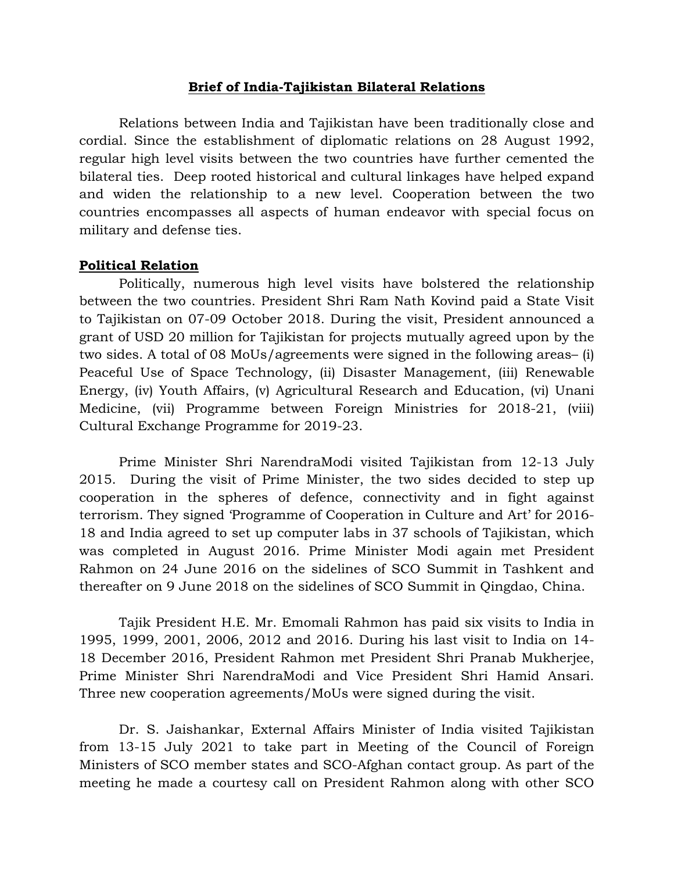#### **Brief of India-Tajikistan Bilateral Relations**

 Relations between India and Tajikistan have been traditionally close and cordial. Since the establishment of diplomatic relations on 28 August 1992, regular high level visits between the two countries have further cemented the bilateral ties. Deep rooted historical and cultural linkages have helped expand and widen the relationship to a new level. Cooperation between the two countries encompasses all aspects of human endeavor with special focus on military and defense ties.

#### **Political Relation**

Politically, numerous high level visits have bolstered the relationship between the two countries. President Shri Ram Nath Kovind paid a State Visit to Tajikistan on 07-09 October 2018. During the visit, President announced a grant of USD 20 million for Tajikistan for projects mutually agreed upon by the two sides. A total of 08 MoUs/agreements were signed in the following areas– (i) Peaceful Use of Space Technology, (ii) Disaster Management, (iii) Renewable Energy, (iv) Youth Affairs, (v) Agricultural Research and Education, (vi) Unani Medicine, (vii) Programme between Foreign Ministries for 2018-21, (viii) Cultural Exchange Programme for 2019-23.

Prime Minister Shri NarendraModi visited Tajikistan from 12-13 July 2015. During the visit of Prime Minister, the two sides decided to step up cooperation in the spheres of defence, connectivity and in fight against terrorism. They signed 'Programme of Cooperation in Culture and Art' for 2016- 18 and India agreed to set up computer labs in 37 schools of Tajikistan, which was completed in August 2016. Prime Minister Modi again met President Rahmon on 24 June 2016 on the sidelines of SCO Summit in Tashkent and thereafter on 9 June 2018 on the sidelines of SCO Summit in Qingdao, China.

Tajik President H.E. Mr. Emomali Rahmon has paid six visits to India in 1995, 1999, 2001, 2006, 2012 and 2016. During his last visit to India on 14- 18 December 2016, President Rahmon met President Shri Pranab Mukherjee, Prime Minister Shri NarendraModi and Vice President Shri Hamid Ansari. Three new cooperation agreements/MoUs were signed during the visit.

Dr. S. Jaishankar, External Affairs Minister of India visited Tajikistan from 13-15 July 2021 to take part in Meeting of the Council of Foreign Ministers of SCO member states and SCO-Afghan contact group. As part of the meeting he made a courtesy call on President Rahmon along with other SCO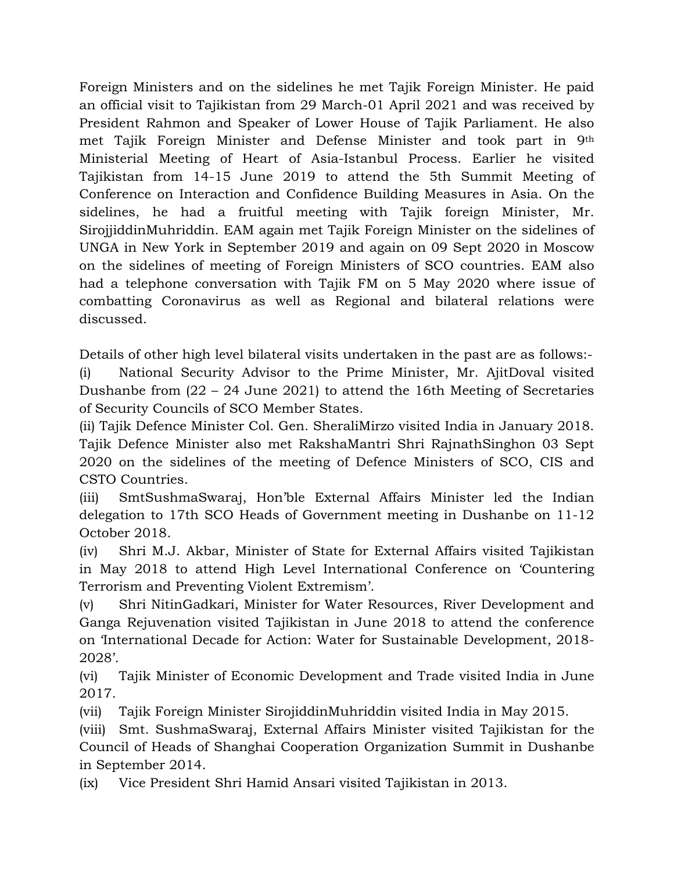Foreign Ministers and on the sidelines he met Tajik Foreign Minister. He paid an official visit to Tajikistan from 29 March-01 April 2021 and was received by President Rahmon and Speaker of Lower House of Tajik Parliament. He also met Tajik Foreign Minister and Defense Minister and took part in 9th Ministerial Meeting of Heart of Asia-Istanbul Process. Earlier he visited Tajikistan from 14-15 June 2019 to attend the 5th Summit Meeting of Conference on Interaction and Confidence Building Measures in Asia. On the sidelines, he had a fruitful meeting with Tajik foreign Minister, Mr. SirojjiddinMuhriddin. EAM again met Tajik Foreign Minister on the sidelines of UNGA in New York in September 2019 and again on 09 Sept 2020 in Moscow on the sidelines of meeting of Foreign Ministers of SCO countries. EAM also had a telephone conversation with Tajik FM on 5 May 2020 where issue of combatting Coronavirus as well as Regional and bilateral relations were discussed.

Details of other high level bilateral visits undertaken in the past are as follows:-

(i) National Security Advisor to the Prime Minister, Mr. AjitDoval visited Dushanbe from (22 – 24 June 2021) to attend the 16th Meeting of Secretaries of Security Councils of SCO Member States.

(ii) Tajik Defence Minister Col. Gen. SheraliMirzo visited India in January 2018. Tajik Defence Minister also met RakshaMantri Shri RajnathSinghon 03 Sept 2020 on the sidelines of the meeting of Defence Ministers of SCO, CIS and CSTO Countries.

(iii) SmtSushmaSwaraj, Hon'ble External Affairs Minister led the Indian delegation to 17th SCO Heads of Government meeting in Dushanbe on 11-12 October 2018.

(iv) Shri M.J. Akbar, Minister of State for External Affairs visited Tajikistan in May 2018 to attend High Level International Conference on 'Countering Terrorism and Preventing Violent Extremism'.

(v) Shri NitinGadkari, Minister for Water Resources, River Development and Ganga Rejuvenation visited Tajikistan in June 2018 to attend the conference on 'International Decade for Action: Water for Sustainable Development, 2018- 2028'.

(vi) Tajik Minister of Economic Development and Trade visited India in June 2017.

(vii) Tajik Foreign Minister SirojiddinMuhriddin visited India in May 2015.

(viii) Smt. SushmaSwaraj, External Affairs Minister visited Tajikistan for the Council of Heads of Shanghai Cooperation Organization Summit in Dushanbe in September 2014.

(ix) Vice President Shri Hamid Ansari visited Tajikistan in 2013.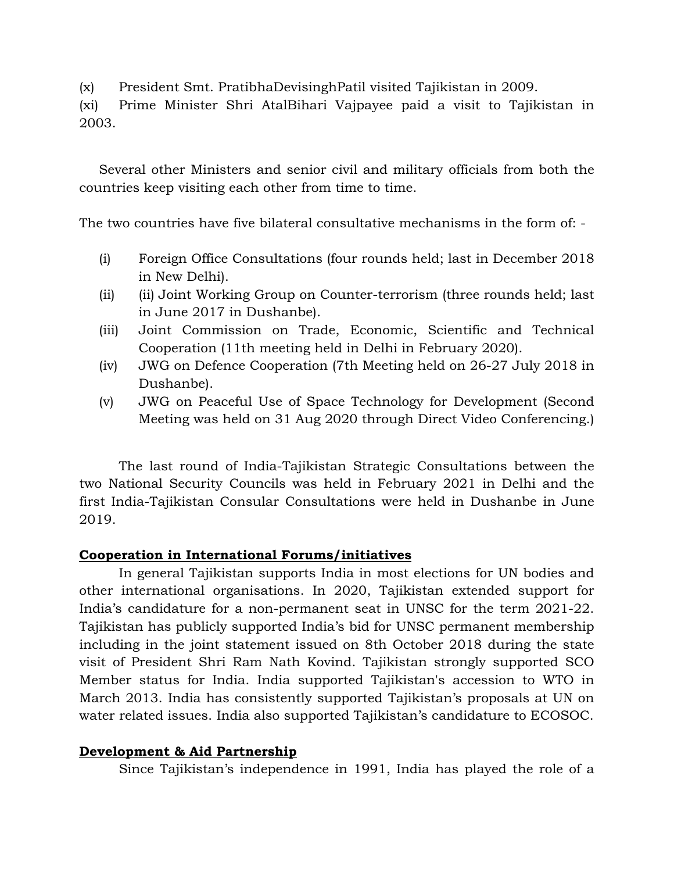(x) President Smt. PratibhaDevisinghPatil visited Tajikistan in 2009.

(xi) Prime Minister Shri AtalBihari Vajpayee paid a visit to Tajikistan in 2003.

Several other Ministers and senior civil and military officials from both the countries keep visiting each other from time to time.

The two countries have five bilateral consultative mechanisms in the form of: -

- (i) Foreign Office Consultations (four rounds held; last in December 2018 in New Delhi).
- (ii) (ii) Joint Working Group on Counter-terrorism (three rounds held; last in June 2017 in Dushanbe).
- (iii) Joint Commission on Trade, Economic, Scientific and Technical Cooperation (11th meeting held in Delhi in February 2020).
- (iv) JWG on Defence Cooperation (7th Meeting held on 26-27 July 2018 in Dushanbe).
- (v) JWG on Peaceful Use of Space Technology for Development (Second Meeting was held on 31 Aug 2020 through Direct Video Conferencing.)

The last round of India-Tajikistan Strategic Consultations between the two National Security Councils was held in February 2021 in Delhi and the first India-Tajikistan Consular Consultations were held in Dushanbe in June 2019.

## **Cooperation in International Forums/initiatives**

In general Tajikistan supports India in most elections for UN bodies and other international organisations. In 2020, Tajikistan extended support for India's candidature for a non-permanent seat in UNSC for the term 2021-22. Tajikistan has publicly supported India's bid for UNSC permanent membership including in the joint statement issued on 8th October 2018 during the state visit of President Shri Ram Nath Kovind. Tajikistan strongly supported SCO Member status for India. India supported Tajikistan's accession to WTO in March 2013. India has consistently supported Tajikistan's proposals at UN on water related issues. India also supported Tajikistan's candidature to ECOSOC.

#### **Development & Aid Partnership**

Since Tajikistan's independence in 1991, India has played the role of a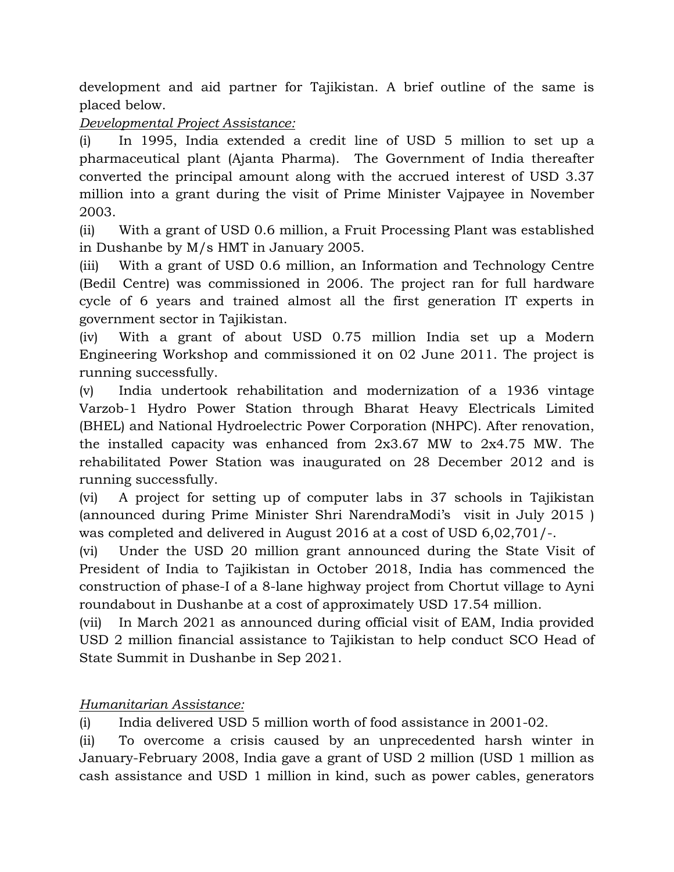development and aid partner for Tajikistan. A brief outline of the same is placed below.

## *Developmental Project Assistance:*

(i) In 1995, India extended a credit line of USD 5 million to set up a pharmaceutical plant (Ajanta Pharma). The Government of India thereafter converted the principal amount along with the accrued interest of USD 3.37 million into a grant during the visit of Prime Minister Vajpayee in November 2003.

(ii) With a grant of USD 0.6 million, a Fruit Processing Plant was established in Dushanbe by M/s HMT in January 2005.

(iii) With a grant of USD 0.6 million, an Information and Technology Centre (Bedil Centre) was commissioned in 2006. The project ran for full hardware cycle of 6 years and trained almost all the first generation IT experts in government sector in Tajikistan.

(iv) With a grant of about USD 0.75 million India set up a Modern Engineering Workshop and commissioned it on 02 June 2011. The project is running successfully.

(v) India undertook rehabilitation and modernization of a 1936 vintage Varzob-1 Hydro Power Station through Bharat Heavy Electricals Limited (BHEL) and National Hydroelectric Power Corporation (NHPC). After renovation, the installed capacity was enhanced from 2x3.67 MW to 2x4.75 MW. The rehabilitated Power Station was inaugurated on 28 December 2012 and is running successfully.

(vi) A project for setting up of computer labs in 37 schools in Tajikistan (announced during Prime Minister Shri NarendraModi's visit in July 2015 ) was completed and delivered in August 2016 at a cost of USD 6,02,701/-.

(vi) Under the USD 20 million grant announced during the State Visit of President of India to Tajikistan in October 2018, India has commenced the construction of phase-I of a 8-lane highway project from Chortut village to Ayni roundabout in Dushanbe at a cost of approximately USD 17.54 million.

(vii) In March 2021 as announced during official visit of EAM, India provided USD 2 million financial assistance to Tajikistan to help conduct SCO Head of State Summit in Dushanbe in Sep 2021.

# *Humanitarian Assistance:*

(i) India delivered USD 5 million worth of food assistance in 2001-02.

(ii) To overcome a crisis caused by an unprecedented harsh winter in January-February 2008, India gave a grant of USD 2 million (USD 1 million as cash assistance and USD 1 million in kind, such as power cables, generators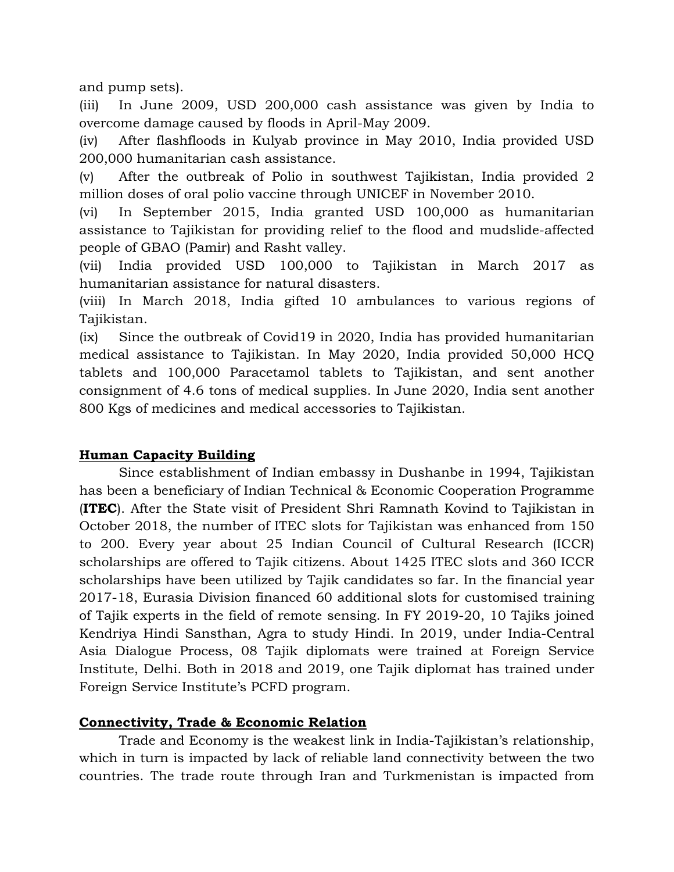and pump sets).

(iii) In June 2009, USD 200,000 cash assistance was given by India to overcome damage caused by floods in April-May 2009.

(iv) After flashfloods in Kulyab province in May 2010, India provided USD 200,000 humanitarian cash assistance.

(v) After the outbreak of Polio in southwest Tajikistan, India provided 2 million doses of oral polio vaccine through UNICEF in November 2010.

(vi) In September 2015, India granted USD 100,000 as humanitarian assistance to Tajikistan for providing relief to the flood and mudslide-affected people of GBAO (Pamir) and Rasht valley.

(vii) India provided USD 100,000 to Tajikistan in March 2017 as humanitarian assistance for natural disasters.

(viii) In March 2018, India gifted 10 ambulances to various regions of Tajikistan.

(ix) Since the outbreak of Covid19 in 2020, India has provided humanitarian medical assistance to Tajikistan. In May 2020, India provided 50,000 HCQ tablets and 100,000 Paracetamol tablets to Tajikistan, and sent another consignment of 4.6 tons of medical supplies. In June 2020, India sent another 800 Kgs of medicines and medical accessories to Tajikistan.

## **Human Capacity Building**

Since establishment of Indian embassy in Dushanbe in 1994, Tajikistan has been a beneficiary of Indian Technical & Economic Cooperation Programme (**ITEC**). After the State visit of President Shri Ramnath Kovind to Tajikistan in October 2018, the number of ITEC slots for Tajikistan was enhanced from 150 to 200. Every year about 25 Indian Council of Cultural Research (ICCR) scholarships are offered to Tajik citizens. About 1425 ITEC slots and 360 ICCR scholarships have been utilized by Tajik candidates so far. In the financial year 2017-18, Eurasia Division financed 60 additional slots for customised training of Tajik experts in the field of remote sensing. In FY 2019-20, 10 Tajiks joined Kendriya Hindi Sansthan, Agra to study Hindi. In 2019, under India-Central Asia Dialogue Process, 08 Tajik diplomats were trained at Foreign Service Institute, Delhi. Both in 2018 and 2019, one Tajik diplomat has trained under Foreign Service Institute's PCFD program.

## **Connectivity, Trade & Economic Relation**

Trade and Economy is the weakest link in India-Tajikistan's relationship, which in turn is impacted by lack of reliable land connectivity between the two countries. The trade route through Iran and Turkmenistan is impacted from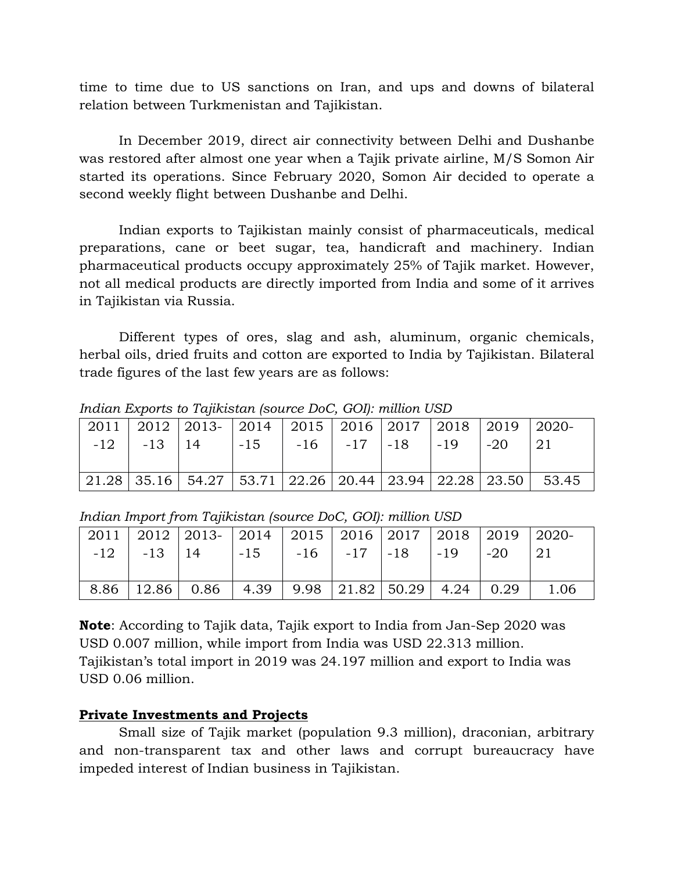time to time due to US sanctions on Iran, and ups and downs of bilateral relation between Turkmenistan and Tajikistan.

In December 2019, direct air connectivity between Delhi and Dushanbe was restored after almost one year when a Tajik private airline, M/S Somon Air started its operations. Since February 2020, Somon Air decided to operate a second weekly flight between Dushanbe and Delhi.

 Indian exports to Tajikistan mainly consist of pharmaceuticals, medical preparations, cane or beet sugar, tea, handicraft and machinery. Indian pharmaceutical products occupy approximately 25% of Tajik market. However, not all medical products are directly imported from India and some of it arrives in Tajikistan via Russia.

Different types of ores, slag and ash, aluminum, organic chemicals, herbal oils, dried fruits and cotton are exported to India by Tajikistan. Bilateral trade figures of the last few years are as follows:

|  | 2011   2012   2013   2014   2015   2016   2017   2018   2019   2020             |  |  |  |  |
|--|---------------------------------------------------------------------------------|--|--|--|--|
|  | $-12$   $-13$   14   $-15$   $-16$   $-17$   $-18$   $-19$   $-20$              |  |  |  |  |
|  |                                                                                 |  |  |  |  |
|  | 21.28   35.16   54.27   53.71   22.26   20.44   23.94   22.28   23.50     53.45 |  |  |  |  |

*Indian Exports to Tajikistan (source DoC, GOI): million USD* 

|  | 2011   2012   2013   2014   2015   2016   2017   2018   2019   2020         |  |  |  |  |
|--|-----------------------------------------------------------------------------|--|--|--|--|
|  | $-12$   $-13$   $14$   $-15$   $-16$   $-17$   $-18$   $-19$   $-20$   $21$ |  |  |  |  |
|  |                                                                             |  |  |  |  |
|  | $8.86$   12.86   0.86   4.39   9.98   21.82   50.29   4.24   0.29   1.06    |  |  |  |  |

*Indian Import from Tajikistan (source DoC, GOI): million USD* 

**Note**: According to Tajik data, Tajik export to India from Jan-Sep 2020 was USD 0.007 million, while import from India was USD 22.313 million. Tajikistan's total import in 2019 was 24.197 million and export to India was USD 0.06 million.

## **Private Investments and Projects**

Small size of Tajik market (population 9.3 million), draconian, arbitrary and non-transparent tax and other laws and corrupt bureaucracy have impeded interest of Indian business in Tajikistan.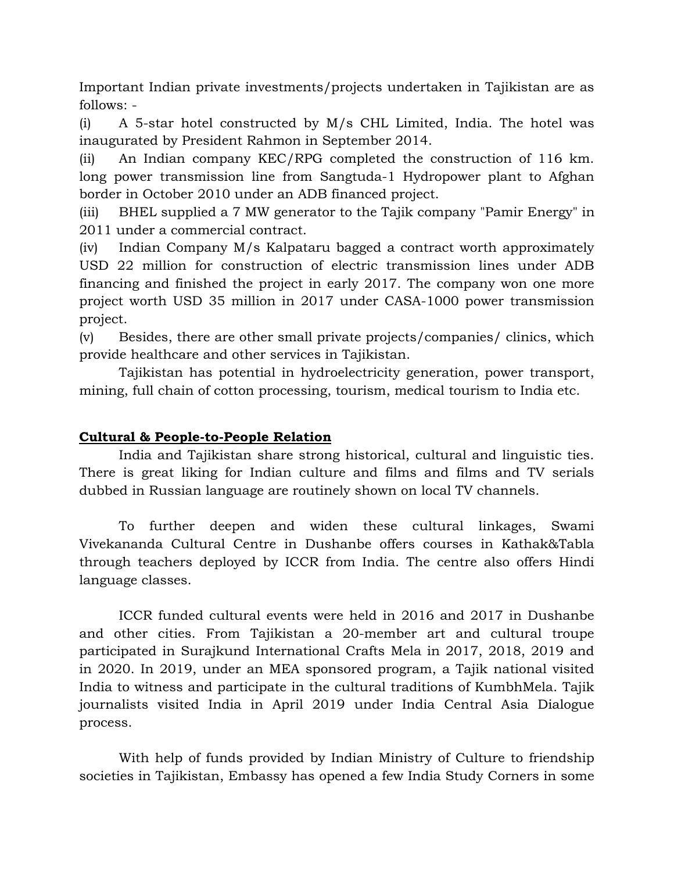Important Indian private investments/projects undertaken in Tajikistan are as follows: -

(i) A 5-star hotel constructed by M/s CHL Limited, India. The hotel was inaugurated by President Rahmon in September 2014.

(ii) An Indian company KEC/RPG completed the construction of 116 km. long power transmission line from Sangtuda-1 Hydropower plant to Afghan border in October 2010 under an ADB financed project.

(iii) BHEL supplied a 7 MW generator to the Tajik company "Pamir Energy" in 2011 under a commercial contract.

(iv) Indian Company M/s Kalpataru bagged a contract worth approximately USD 22 million for construction of electric transmission lines under ADB financing and finished the project in early 2017. The company won one more project worth USD 35 million in 2017 under CASA-1000 power transmission project.

(v) Besides, there are other small private projects/companies/ clinics, which provide healthcare and other services in Tajikistan.

Tajikistan has potential in hydroelectricity generation, power transport, mining, full chain of cotton processing, tourism, medical tourism to India etc.

## **Cultural & People-to-People Relation**

India and Tajikistan share strong historical, cultural and linguistic ties. There is great liking for Indian culture and films and films and TV serials dubbed in Russian language are routinely shown on local TV channels.

To further deepen and widen these cultural linkages, Swami Vivekananda Cultural Centre in Dushanbe offers courses in Kathak&Tabla through teachers deployed by ICCR from India. The centre also offers Hindi language classes.

ICCR funded cultural events were held in 2016 and 2017 in Dushanbe and other cities. From Tajikistan a 20-member art and cultural troupe participated in Surajkund International Crafts Mela in 2017, 2018, 2019 and in 2020. In 2019, under an MEA sponsored program, a Tajik national visited India to witness and participate in the cultural traditions of KumbhMela. Tajik journalists visited India in April 2019 under India Central Asia Dialogue process.

With help of funds provided by Indian Ministry of Culture to friendship societies in Tajikistan, Embassy has opened a few India Study Corners in some